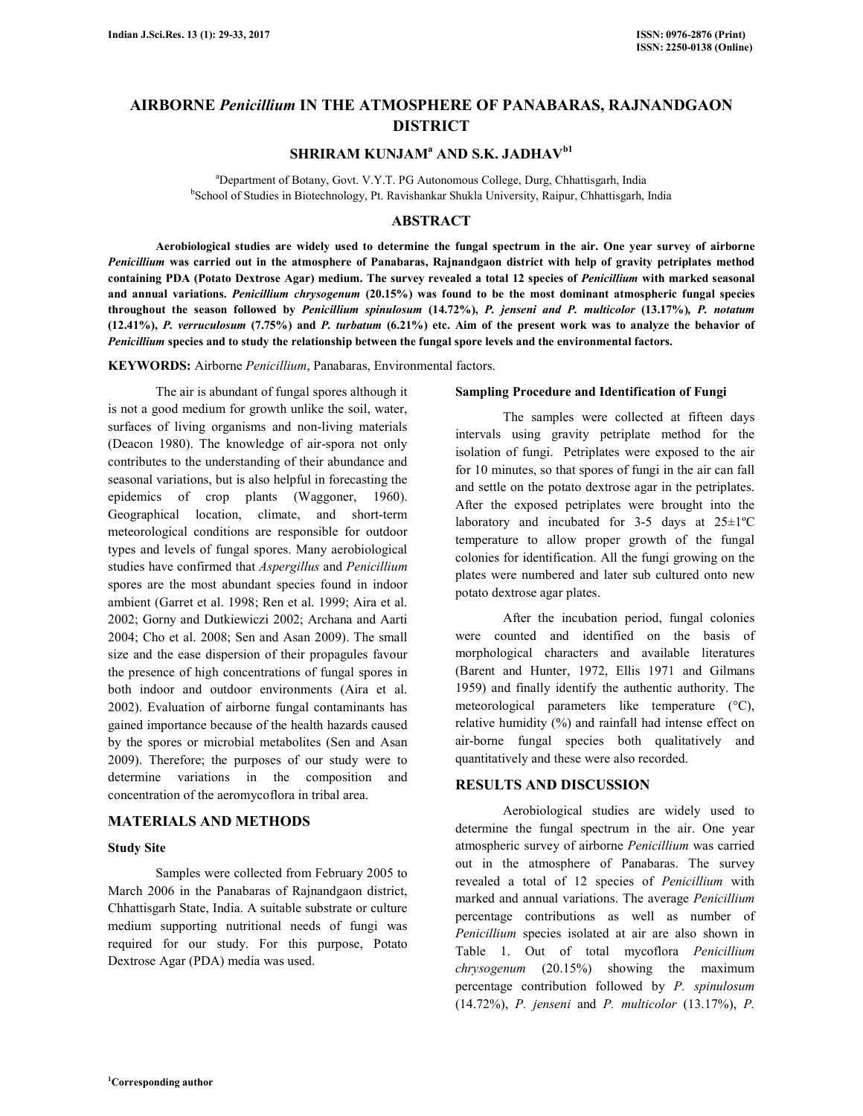# **AIRBORNE** *Penicillium* **IN THE ATMOSPHERE OF PANABARAS, RAJNANDGAON DISTRICT**

# **SHRIRAM KUNJAM<sup>a</sup> AND S.K. JADHAVb1**

<sup>a</sup>Department of Botany, Govt. V.Y.T. PG Autonomous College, Durg, Chhattisgarh, India <sup>b</sup>School of Studies in Biotechnology, Pt. Ravishankar Shukla University, Raipur, Chhattisgarh, India

#### **ABSTRACT**

 **Aerobiological studies are widely used to determine the fungal spectrum in the air. One year survey of airborne**  *Penicillium* **was carried out in the atmosphere of Panabaras, Rajnandgaon district with help of gravity petriplates method containing PDA (Potato Dextrose Agar) medium. The survey revealed a total 12 species of** *Penicillium* **with marked seasonal and annual variations.** *Penicillium chrysogenum* **(20.15%) was found to be the most dominant atmospheric fungal species throughout the season followed by** *Penicillium spinulosum* **(14.72%),** *P. jenseni and P. multicolor* **(13.17%)***, P. notatum*  **(12.41%),** *P. verruculosum* **(7.75%) and** *P. turbatum* **(6.21%) etc. Aim of the present work was to analyze the behavior of**  *Penicillium* **species and to study the relationship between the fungal spore levels and the environmental factors.** 

**KEYWORDS:** Airborne *Penicillium*, Panabaras, Environmental factors.

The air is abundant of fungal spores although it is not a good medium for growth unlike the soil, water, surfaces of living organisms and non-living materials (Deacon 1980). The knowledge of air-spora not only contributes to the understanding of their abundance and seasonal variations, but is also helpful in forecasting the epidemics of crop plants (Waggoner, 1960). Geographical location, climate, and short-term meteorological conditions are responsible for outdoor types and levels of fungal spores. Many aerobiological studies have confirmed that *Aspergillus* and *Penicillium* spores are the most abundant species found in indoor ambient (Garret et al. 1998; Ren et al. 1999; Aira et al. 2002; Gorny and Dutkiewiczi 2002; Archana and Aarti 2004; Cho et al. 2008; Sen and Asan 2009). The small size and the ease dispersion of their propagules favour the presence of high concentrations of fungal spores in both indoor and outdoor environments (Aira et al. 2002). Evaluation of airborne fungal contaminants has gained importance because of the health hazards caused by the spores or microbial metabolites (Sen and Asan 2009). Therefore; the purposes of our study were to determine variations in the composition and concentration of the aeromycoflora in tribal area.

### **MATERIALS AND METHODS**

#### **Study Site**

 Samples were collected from February 2005 to March 2006 in the Panabaras of Rajnandgaon district, Chhattisgarh State, India. A suitable substrate or culture medium supporting nutritional needs of fungi was required for our study. For this purpose, Potato Dextrose Agar (PDA) media was used.

#### **Sampling Procedure and Identification of Fungi**

 The samples were collected at fifteen days intervals using gravity petriplate method for the isolation of fungi. Petriplates were exposed to the air for 10 minutes, so that spores of fungi in the air can fall and settle on the potato dextrose agar in the petriplates. After the exposed petriplates were brought into the laboratory and incubated for  $3-5$  days at  $25 \pm 1^{\circ}$ C temperature to allow proper growth of the fungal colonies for identification. All the fungi growing on the plates were numbered and later sub cultured onto new potato dextrose agar plates.

 After the incubation period, fungal colonies were counted and identified on the basis of morphological characters and available literatures (Barent and Hunter, 1972, Ellis 1971 and Gilmans 1959) and finally identify the authentic authority. The meteorological parameters like temperature (°C), relative humidity (%) and rainfall had intense effect on air-borne fungal species both qualitatively and quantitatively and these were also recorded.

### **RESULTS AND DISCUSSION**

 Aerobiological studies are widely used to determine the fungal spectrum in the air. One year atmospheric survey of airborne *Penicillium* was carried out in the atmosphere of Panabaras. The survey revealed a total of 12 species of *Penicillium* with marked and annual variations. The average *Penicillium* percentage contributions as well as number of *Penicillium* species isolated at air are also shown in Table 1. Out of total mycoflora *Penicillium chrysogenum* (20.15%) showing the maximum percentage contribution followed by *P. spinulosum*  (14.72%), *P. jenseni* and *P. multicolor* (13.17%), *P.*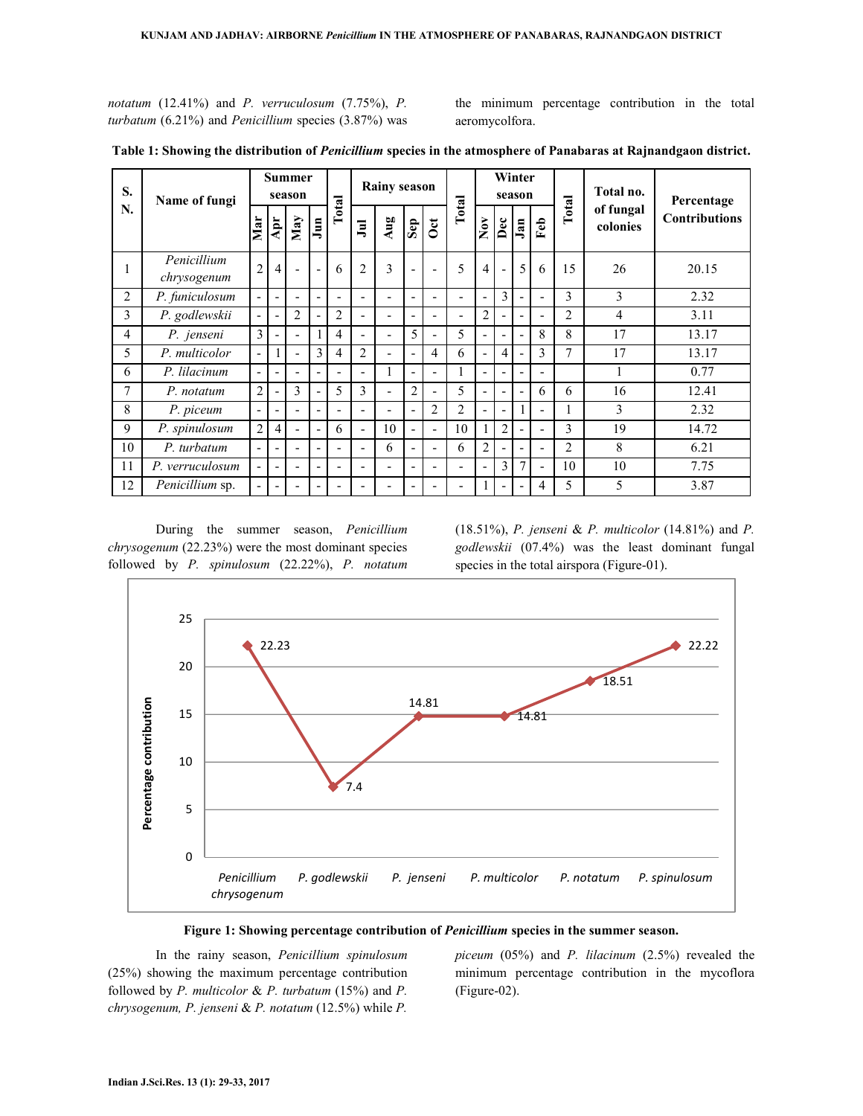*notatum* (12.41%) and *P. verruculosum* (7.75%), *P. turbatum* (6.21%) and *Penicillium* species (3.87%) was the minimum percentage contribution in the total aeromycolfora.

| S.<br>N.       | Name of fungi              | <b>Summer</b><br>season  |                          |     |                          | <b>Rainy season</b>      |                          |                          |                              |     | Winter<br>season         |                                |                          |                          |                          | Total no.      | Percentage            |                      |
|----------------|----------------------------|--------------------------|--------------------------|-----|--------------------------|--------------------------|--------------------------|--------------------------|------------------------------|-----|--------------------------|--------------------------------|--------------------------|--------------------------|--------------------------|----------------|-----------------------|----------------------|
|                |                            | Mar                      | Apr                      | May | Jum                      | Total                    | $\overline{a}$           | Aug                      | $\mathbf{Sep}$               | Oct | Total                    | $\overset{\sim}{\mathbf{Now}}$ | Dec                      | $\bar{J}_{\rm{an}}$      | Feb                      | Total          | of fungal<br>colonies | <b>Contributions</b> |
| 1              | Penicillium<br>chrysogenum | $\overline{2}$           | $\overline{4}$           |     | L,                       | 6                        | $\overline{2}$           | $\mathbf{3}$             |                              |     | 5                        | 4                              |                          | 5                        | 6                        | 15             | 26                    | 20.15                |
| $\overline{2}$ | P. funiculosum             | $\sim$                   | $\overline{\phantom{a}}$ |     | $\blacksquare$           |                          | $\overline{\phantom{0}}$ | $\blacksquare$           | $\overline{a}$               |     | -                        |                                | $\overline{3}$           |                          | $\overline{\phantom{0}}$ | 3              | 3                     | 2.32                 |
| 3              | P. godlewskii              | $\overline{\phantom{a}}$ | $\blacksquare$           | 2   | $\overline{\phantom{a}}$ | $\overline{2}$           | $\blacksquare$           | $\overline{\phantom{a}}$ | $\qquad \qquad \blacksquare$ |     | $\overline{\phantom{0}}$ | $\overline{c}$                 |                          | $\overline{\phantom{0}}$ | $\qquad \qquad -$        | $\overline{2}$ | 4                     | 3.11                 |
| 4              | P. jenseni                 | 3                        | $\blacksquare$           |     | 1                        | $\overline{4}$           | $\overline{\phantom{0}}$ | $\blacksquare$           | 5                            |     | 5                        |                                | $\overline{\phantom{0}}$ |                          | 8                        | 8              | 17                    | 13.17                |
| 5              | P. multicolor              | $\blacksquare$           |                          |     | 3                        | $\overline{4}$           | 2                        | $\blacksquare$           | $\overline{a}$               | 4   | 6                        |                                | 4                        |                          | 3                        | 7              | 17                    | 13.17                |
| 6              | P. lilacinum               | $\blacksquare$           | $\overline{\phantom{a}}$ |     | $\blacksquare$           | $\overline{\phantom{a}}$ | $\blacksquare$           |                          | $\qquad \qquad \blacksquare$ | -   |                          |                                |                          |                          | $\overline{\phantom{a}}$ |                |                       | 0.77                 |
| 7              | P. notatum                 | $\overline{2}$           | $\overline{\phantom{a}}$ | 3   | $\overline{\phantom{a}}$ | 5                        | 3                        | $\overline{\phantom{a}}$ | $\overline{2}$               |     | 5                        |                                |                          |                          | 6                        | 6              | 16                    | 12.41                |
| 8              | P. piceum                  | $\overline{\phantom{a}}$ | $\blacksquare$           |     | $\overline{\phantom{a}}$ |                          | $\overline{\phantom{0}}$ | $\blacksquare$           | $\overline{a}$               | 2   | 2                        |                                | $\overline{\phantom{0}}$ |                          | $\overline{\phantom{a}}$ |                | 3                     | 2.32                 |
| 9              | P. spinulosum              | $\overline{2}$           | 4                        |     | $\blacksquare$           | 6                        | $\blacksquare$           | 10                       | ۰                            |     | 10                       |                                | $\overline{2}$           |                          | $\blacksquare$           | 3              | 19                    | 14.72                |
| 10             | P. turbatum                | $\blacksquare$           | $\overline{\phantom{a}}$ |     | $\blacksquare$           |                          | $\overline{\phantom{a}}$ | 6                        | -                            |     | 6                        | $\overline{c}$                 |                          | $\qquad \qquad =$        | $\blacksquare$           | $\overline{2}$ | 8                     | 6.21                 |
| 11             | P. verruculosum            | $\overline{\phantom{a}}$ | $\blacksquare$           |     | $\blacksquare$           | $\overline{\phantom{0}}$ | $\overline{\phantom{0}}$ | $\overline{\phantom{a}}$ | $\overline{\phantom{0}}$     |     | ٠                        | $\overline{\phantom{0}}$       | $\overline{3}$           | 7                        | $\blacksquare$           | 10             | 10                    | 7.75                 |
| 12             | Penicillium sp.            | $\overline{\phantom{a}}$ | $\blacksquare$           |     | $\qquad \qquad -$        |                          | $\overline{\phantom{0}}$ | ٠                        | ٠                            |     | Ξ.                       |                                |                          |                          | 4                        | 5              | 5                     | 3.87                 |

**Table 1: Showing the distribution of** *Penicillium* **species in the atmosphere of Panabaras at Rajnandgaon district.** 

 During the summer season, *Penicillium chrysogenum* (22.23%) were the most dominant species followed by *P. spinulosum* (22.22%), *P. notatum*

(18.51%), *P. jenseni* & *P. multicolor* (14.81%) and *P. godlewskii* (07.4%) was the least dominant fungal species in the total airspora (Figure-01).



**Figure 1: Showing percentage contribution of** *Penicillium* **species in the summer season.**

 In the rainy season, *Penicillium spinulosum* (25%) showing the maximum percentage contribution followed by *P. multicolor* & *P. turbatum* (15%) and *P. chrysogenum, P. jenseni* & *P. notatum* (12.5%) while *P.* 

*piceum* (05%) and *P. lilacinum* (2.5%) revealed the minimum percentage contribution in the mycoflora (Figure-02).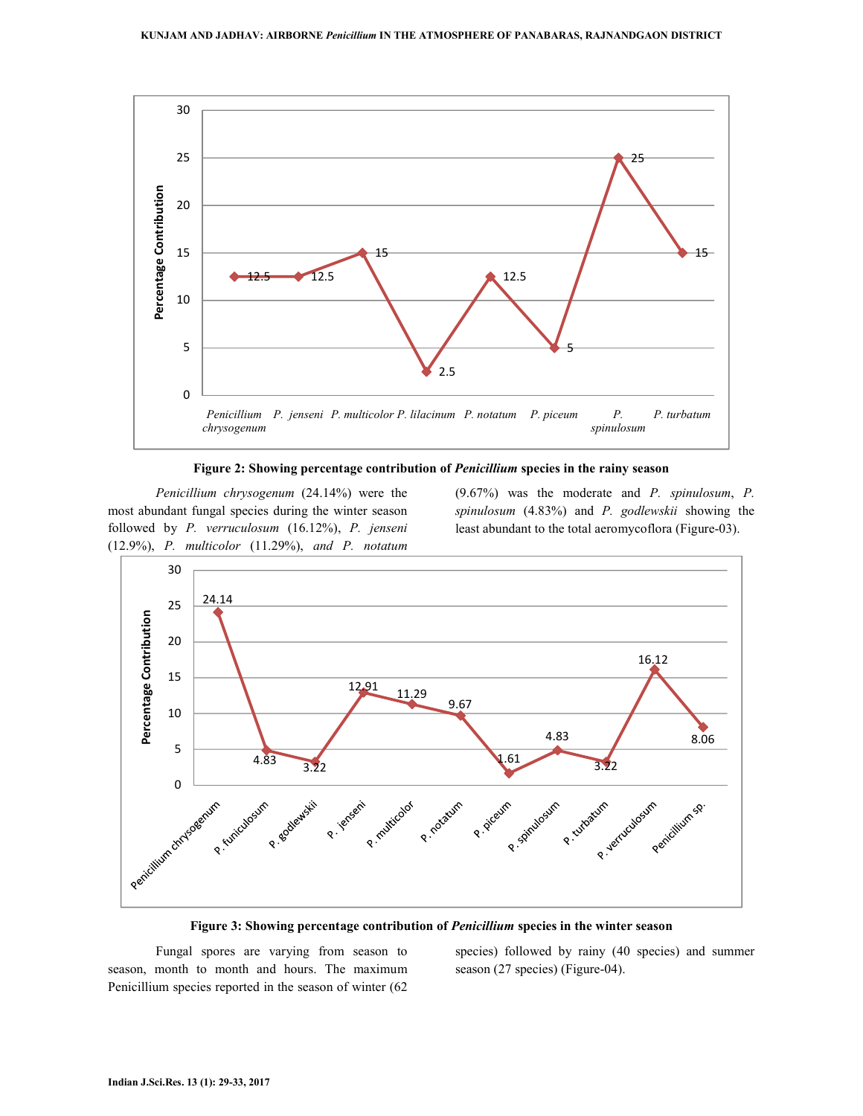

**Figure 2: Showing percentage contribution of** *Penicillium* **species in the rainy season**

*Penicillium chrysogenum* (24.14%) were the most abundant fungal species during the winter season followed by *P. verruculosum* (16.12%), *P. jenseni* (12.9%), *P. multicolor* (11.29%), *and P. notatum*

(9.67%) was the moderate and *P. spinulosum*, *P. spinulosum* (4.83%) and *P. godlewskii* showing the least abundant to the total aeromycoflora (Figure-03).



**Figure 3: Showing percentage contribution of** *Penicillium* **species in the winter season** 

 Fungal spores are varying from season to season, month to month and hours. The maximum Penicillium species reported in the season of winter (62 species) followed by rainy (40 species) and summer season (27 species) (Figure-04).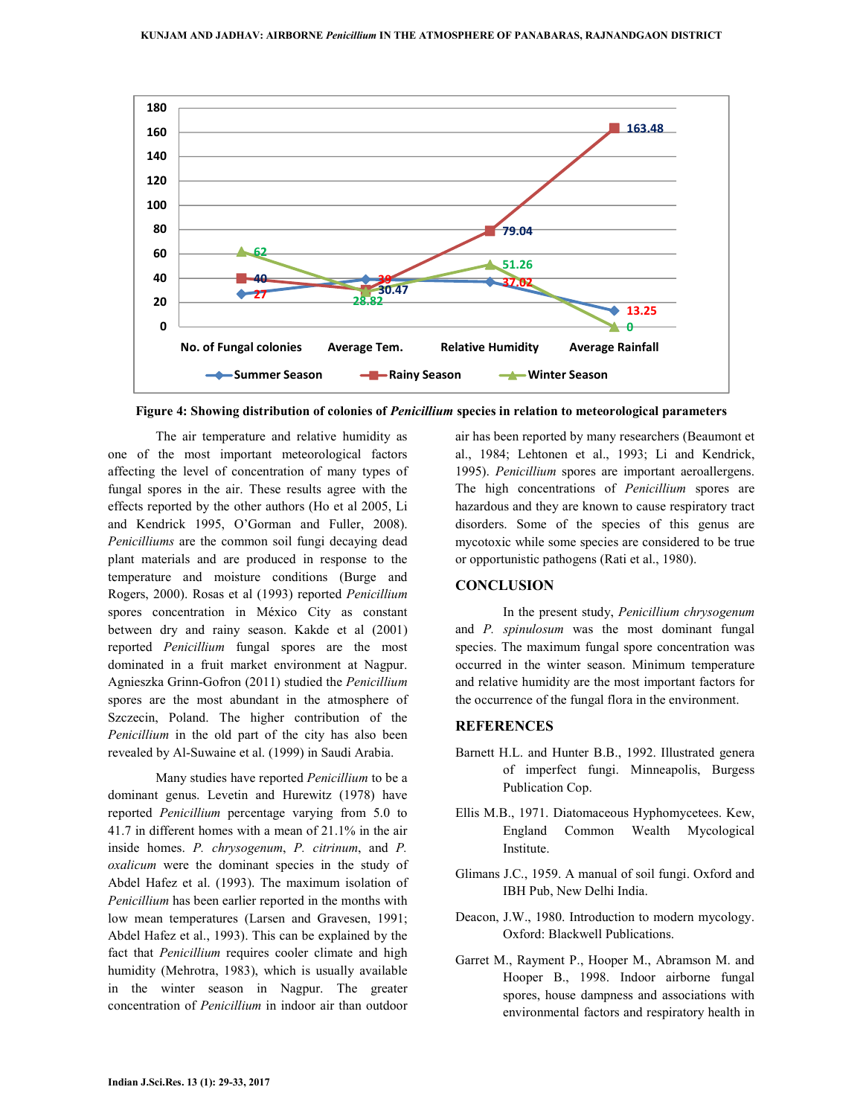

**Figure 4: Showing distribution of colonies of** *Penicillium* **species in relation to meteorological parameters** 

 The air temperature and relative humidity as one of the most important meteorological factors affecting the level of concentration of many types of fungal spores in the air. These results agree with the effects reported by the other authors (Ho et al 2005, Li and Kendrick 1995, O'Gorman and Fuller, 2008). *Penicilliums* are the common soil fungi decaying dead plant materials and are produced in response to the temperature and moisture conditions (Burge and Rogers, 2000). Rosas et al (1993) reported *Penicillium* spores concentration in México City as constant between dry and rainy season. Kakde et al (2001) reported *Penicillium* fungal spores are the most dominated in a fruit market environment at Nagpur. Agnieszka Grinn-Gofron (2011) studied the *Penicillium* spores are the most abundant in the atmosphere of Szczecin, Poland. The higher contribution of the *Penicillium* in the old part of the city has also been revealed by Al-Suwaine et al. (1999) in Saudi Arabia.

 Many studies have reported *Penicillium* to be a dominant genus. Levetin and Hurewitz (1978) have reported *Penicillium* percentage varying from 5.0 to 41.7 in different homes with a mean of 21.1% in the air inside homes. *P. chrysogenum*, *P. citrinum*, and *P. oxalicum* were the dominant species in the study of Abdel Hafez et al. (1993). The maximum isolation of *Penicillium* has been earlier reported in the months with low mean temperatures (Larsen and Gravesen, 1991; Abdel Hafez et al., 1993). This can be explained by the fact that *Penicillium* requires cooler climate and high humidity (Mehrotra, 1983), which is usually available in the winter season in Nagpur. The greater concentration of *Penicillium* in indoor air than outdoor

air has been reported by many researchers (Beaumont et al., 1984; Lehtonen et al., 1993; Li and Kendrick, 1995). *Penicillium* spores are important aeroallergens. The high concentrations of *Penicillium* spores are hazardous and they are known to cause respiratory tract disorders. Some of the species of this genus are mycotoxic while some species are considered to be true or opportunistic pathogens (Rati et al., 1980).

## **CONCLUSION**

 In the present study, *Penicillium chrysogenum*  and *P. spinulosum* was the most dominant fungal species. The maximum fungal spore concentration was occurred in the winter season. Minimum temperature and relative humidity are the most important factors for the occurrence of the fungal flora in the environment.

#### **REFERENCES**

- Barnett H.L. and Hunter B.B., 1992. Illustrated genera of imperfect fungi. Minneapolis, Burgess Publication Cop.
- Ellis M.B., 1971. Diatomaceous Hyphomycetees. Kew, England Common Wealth Mycological Institute.
- Glimans J.C., 1959. A manual of soil fungi. Oxford and IBH Pub, New Delhi India.
- Deacon, J.W., 1980. Introduction to modern mycology. Oxford: Blackwell Publications.
- Garret M., Rayment P., Hooper M., Abramson M. and Hooper B., 1998. Indoor airborne fungal spores, house dampness and associations with environmental factors and respiratory health in